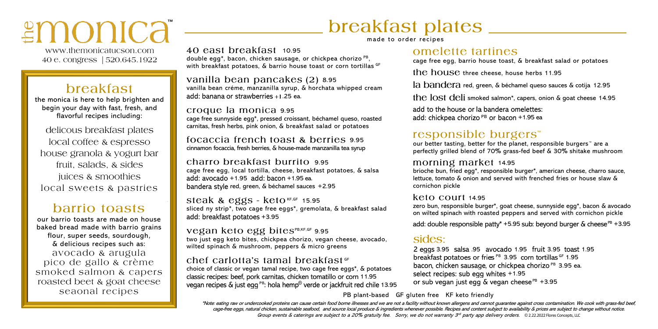# ≗monica

www.themonicatucson.com 40 e. congress | 520.645.1922

## breakfast

the monica is here to help brighten and begin your day with fast, fresh, and flavorful recipes including:

delicous breakfast plates local coffee & espresso house granola & yogurt bar fruit, salads, & sides juices & smoothies local sweets & pastries

## barrio toasts

our barrio toasts are made on house baked bread made with barrio grains flour, super seeds, sourdough, & delicious recipes such as: avocado & arugula pico de gallo & crème smoked salmon & capers roasted beet & goat cheese seaonal recipes

# breakfast plates \_\_

made to order recipes

40 east breakfast 10.95 double egg\*, bacon, chicken sausage, or chickpea chorizo <sup>PB</sup>, with breakfast potatoes, & barrio house toast or corn tortillas GF

vanilla bean pancakes (2) 8.95 vanilla bean créme, manzanilla syrup, & horchata whipped cream add: banana or strawberries +1.25 ea.

#### croque la monica 9.95 cage free sunnyside egg\*, pressed croissant, béchamel queso, roasted carnitas, fresh herbs, pink onion, & breakfast salad or potatoes

focaccia french toast & berries 9.95 cinnamon focaccia, fresh berries, & house-made manzanilla tea syrup

#### charro breakfast burrito 9.95

cage free egg, local tortilla, cheese, breakfast potatoes, & salsa add:  $avocado +1.95$  add:  $bacon +1.95$ ea. bandera style red, green, & béchamel sauces +2.95

steak & eggs -  $keto$ <sub>KF,GF</sub> 15.95 sliced ny strip\*, two cage free eggs\*, gremolata, & breakfast salad add: breakfast potatoes +3.95

Vegan keto egg bites<sup>PB,KF,GF</sup> 9.95 two just egg keto bites, chickpea chorizo, vegan cheese, avocado, wilted spinach & mushroom, peppers & micro greens

#### chef carlotta's tamal breakfast<sup>GF</sup>

choice of classic or vegan tamal recipe, two cage free eggs\*, & potatoes classic recipes: beef, pork carnitas, chicken tomatillo or corn 11.95 vegan recipes  $\&$  just egg<sup>PB</sup>: hola hemp<sup>®</sup> verde or jackfruit red chile 13.95

### omelette tartines

cage free egg, barrio house toast, & breakfast salad or potatoes

the house three cheese, house herbs  $11.95$ 

la bandera red, green, & béchamel queso sauces & cotija 12.95

the lost deli smoked salmon\*, capers, onion & goat cheese 14.95

add to the house or la bandera omelettes: add: chickpea chorizo  $PB$  or bacon  $+1.95$  ea

## responsible burgers<sup>™</sup>

our better tasting, better for the planet, responsible burgers™ are a perfectly grilled blend of 70% grass-fed beef & 30% shitake mushroom

#### morning market 14.95

brioche bun, fried egg\*, responsible burger\*, american cheese, charro sauce, lettuce, tomato & onion and served with frenched fries or house slaw & cornichon pickle

#### $keto$  court 14.95

zero bun, responsible burger\*, goat cheese, sunnyside egg\*, bacon & avocado on wilted spinach with roasted peppers and served with cornichon pickle

add: double responsible patty\* +5.95 sub: beyond burger  $\&$  cheese<sup>PB</sup> +3.95

### sides:

2 eggs 3.95 salsa .95 avocado 1.95 fruit 3.95 toast 1.95 <sup>PB</sup> 3.95 corn tortillas <sup>GF</sup> 1.95 bacon, chicken sausage, or chickpea chorizo<sup>PB</sup> 3.95 ea. select recipes: sub eqq whites  $+1.95$ or sub vegan just egg  $\&$  vegan cheese  $PB$  +3.95

PB plant-based GF gluten free KF keto friendly

\*Note: eating raw or undercooked proteins can cause certain food borne illnesses and we are not a facility without known allergens and cannot guarantee against cross contamination. We cook with grass-fed beef, cage-free eggs, natural chicken, sustainable seafood, and source local produce & ingredients whenever possible. Recipes and content subject to availability & prices are subject to change without notice. Group events & caterings are subject to a 20% gratuity fee. Sorry, we do not warranty 3<sup>rd</sup> party app delivery orders. ©2.22.2022 Flores Concepts, LLC